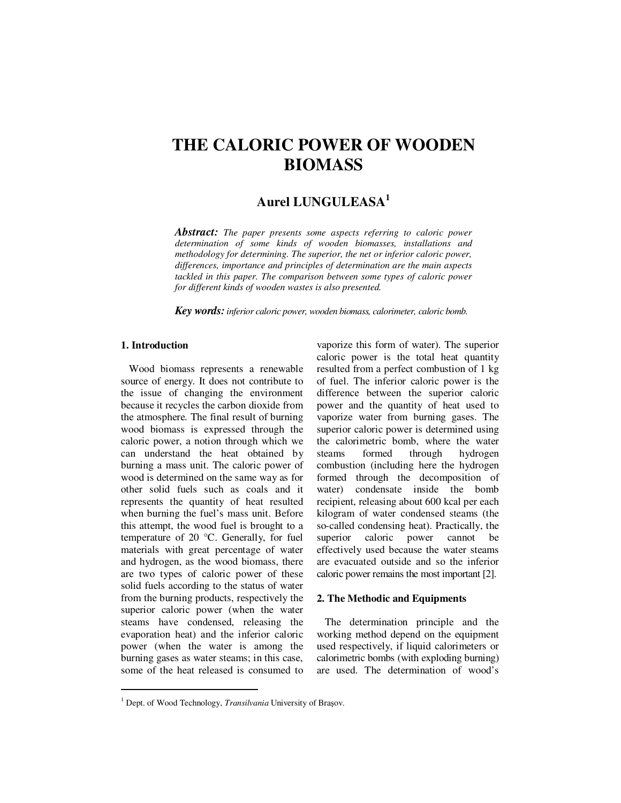# **THE CALORIC POWER OF WOODEN BIOMASS**

# **Aurel LUNGULEASA<sup>1</sup>**

*Abstract: The paper presents some aspects referring to caloric power determination of some kinds of wooden biomasses, installations and methodology for determining. The superior, the net or inferior caloric power, differences, importance and principles of determination are the main aspects tackled in this paper. The comparison between some types of caloric power for different kinds of wooden wastes is also presented.* 

*Key words:inferior caloric power, wooden biomass, calorimeter, caloric bomb.*

# **1. Introduction**

 $\ddot{ }$ 

Wood biomass represents a renewable source of energy. It does not contribute to the issue of changing the environment because it recycles the carbon dioxide from the atmosphere. The final result of burning wood biomass is expressed through the caloric power, a notion through which we can understand the heat obtained by burning a mass unit. The caloric power of wood is determined on the same way as for other solid fuels such as coals and it represents the quantity of heat resulted when burning the fuel's mass unit. Before this attempt, the wood fuel is brought to a temperature of 20 °C. Generally, for fuel materials with great percentage of water and hydrogen, as the wood biomass, there are two types of caloric power of these solid fuels according to the status of water from the burning products, respectively the superior caloric power (when the water steams have condensed, releasing the evaporation heat) and the inferior caloric power (when the water is among the burning gases as water steams; in this case, some of the heat released is consumed to vaporize this form of water). The superior caloric power is the total heat quantity resulted from a perfect combustion of 1 kg of fuel. The inferior caloric power is the difference between the superior caloric power and the quantity of heat used to vaporize water from burning gases. The superior caloric power is determined using the calorimetric bomb, where the water steams formed through hydrogen combustion (including here the hydrogen formed through the decomposition of water) condensate inside the bomb recipient, releasing about 600 kcal per each kilogram of water condensed steams (the so-called condensing heat). Practically, the superior caloric power cannot be effectively used because the water steams are evacuated outside and so the inferior caloric power remains the most important [2].

#### **2. The Methodic and Equipments**

The determination principle and the working method depend on the equipment used respectively, if liquid calorimeters or calorimetric bombs (with exploding burning) are used. The determination of wood's

<sup>&</sup>lt;sup>1</sup> Dept. of Wood Technology, *Transilvania* University of Braşov.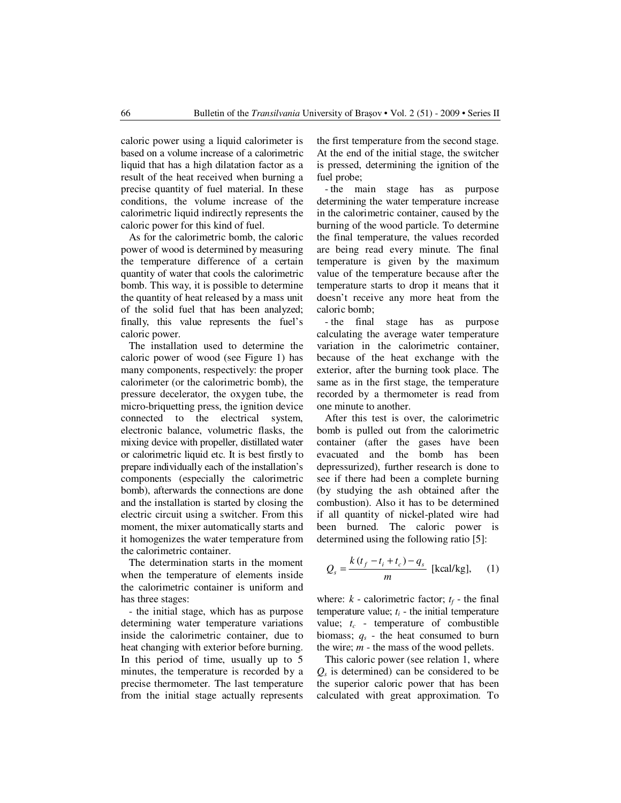caloric power using a liquid calorimeter is based on a volume increase of a calorimetric liquid that has a high dilatation factor as a result of the heat received when burning a precise quantity of fuel material. In these conditions, the volume increase of the calorimetric liquid indirectly represents the caloric power for this kind of fuel.

As for the calorimetric bomb, the caloric power of wood is determined by measuring the temperature difference of a certain quantity of water that cools the calorimetric bomb. This way, it is possible to determine the quantity of heat released by a mass unit of the solid fuel that has been analyzed; finally, this value represents the fuel's caloric power.

The installation used to determine the caloric power of wood (see Figure 1) has many components, respectively: the proper calorimeter (or the calorimetric bomb), the pressure decelerator, the oxygen tube, the micro-briquetting press, the ignition device connected to the electrical system, electronic balance, volumetric flasks, the mixing device with propeller, distillated water or calorimetric liquid etc. It is best firstly to prepare individually each of the installation's components (especially the calorimetric bomb), afterwards the connections are done and the installation is started by closing the electric circuit using a switcher. From this moment, the mixer automatically starts and it homogenizes the water temperature from the calorimetric container.

The determination starts in the moment when the temperature of elements inside the calorimetric container is uniform and has three stages:

- the initial stage, which has as purpose determining water temperature variations inside the calorimetric container, due to heat changing with exterior before burning. In this period of time, usually up to 5 minutes, the temperature is recorded by a precise thermometer. The last temperature from the initial stage actually represents the first temperature from the second stage. At the end of the initial stage, the switcher is pressed, determining the ignition of the fuel probe;

- the main stage has as purpose determining the water temperature increase in the calorimetric container, caused by the burning of the wood particle. To determine the final temperature, the values recorded are being read every minute. The final temperature is given by the maximum value of the temperature because after the temperature starts to drop it means that it doesn't receive any more heat from the caloric bomb;

- the final stage has as purpose calculating the average water temperature variation in the calorimetric container, because of the heat exchange with the exterior, after the burning took place. The same as in the first stage, the temperature recorded by a thermometer is read from one minute to another.

After this test is over, the calorimetric bomb is pulled out from the calorimetric container (after the gases have been evacuated and the bomb has been depressurized), further research is done to see if there had been a complete burning (by studying the ash obtained after the combustion). Also it has to be determined if all quantity of nickel-plated wire had been burned. The caloric power is determined using the following ratio [5]:

$$
Q_s = \frac{k(t_f - t_i + t_c) - q_s}{m}
$$
 [kcal/kg], (1)

where:  $k$  - calorimetric factor;  $t_f$  - the final temperature value;  $t_i$  - the initial temperature value; *tc* - temperature of combustible biomass;  $q_s$  - the heat consumed to burn the wire; *m* - the mass of the wood pellets.

This caloric power (see relation 1, where *Qs* is determined) can be considered to be the superior caloric power that has been calculated with great approximation. To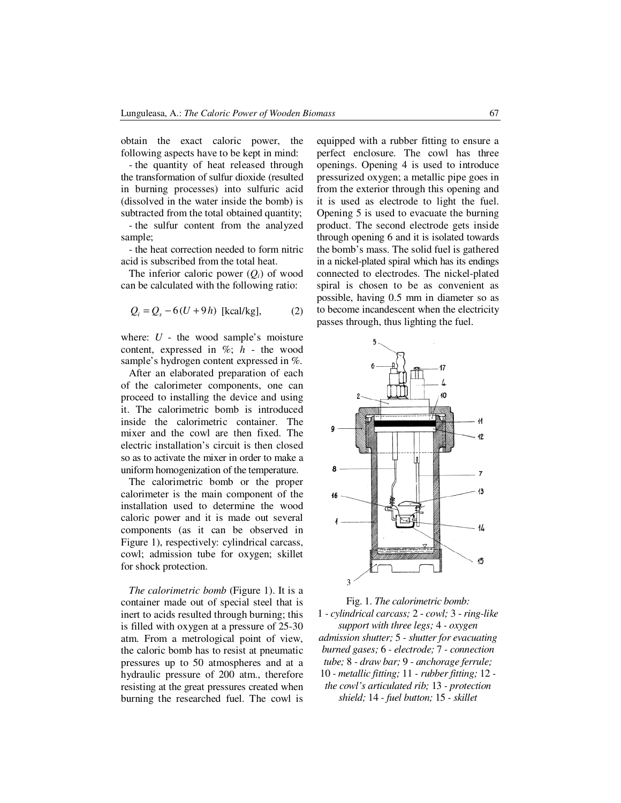obtain the exact caloric power, the following aspects have to be kept in mind:

- the quantity of heat released through the transformation of sulfur dioxide (resulted in burning processes) into sulfuric acid (dissolved in the water inside the bomb) is subtracted from the total obtained quantity;

- the sulfur content from the analyzed sample;

- the heat correction needed to form nitric acid is subscribed from the total heat.

The inferior caloric power  $(Q_i)$  of wood can be calculated with the following ratio:

$$
Q_i = Q_s - 6(U + 9h)
$$
 [kcal/kg], (2)

where: *U* - the wood sample's moisture content, expressed in %; *h* - the wood sample's hydrogen content expressed in %.

After an elaborated preparation of each of the calorimeter components, one can proceed to installing the device and using it. The calorimetric bomb is introduced inside the calorimetric container. The mixer and the cowl are then fixed. The electric installation's circuit is then closed so as to activate the mixer in order to make a uniform homogenization of the temperature.

The calorimetric bomb or the proper calorimeter is the main component of the installation used to determine the wood caloric power and it is made out several components (as it can be observed in Figure 1), respectively: cylindrical carcass, cowl; admission tube for oxygen; skillet for shock protection.

*The calorimetric bomb* (Figure 1). It is a container made out of special steel that is inert to acids resulted through burning; this is filled with oxygen at a pressure of 25-30 atm. From a metrological point of view, the caloric bomb has to resist at pneumatic pressures up to 50 atmospheres and at a hydraulic pressure of 200 atm., therefore resisting at the great pressures created when burning the researched fuel. The cowl is

equipped with a rubber fitting to ensure a perfect enclosure. The cowl has three openings. Opening 4 is used to introduce pressurized oxygen; a metallic pipe goes in from the exterior through this opening and it is used as electrode to light the fuel. Opening 5 is used to evacuate the burning product. The second electrode gets inside through opening 6 and it is isolated towards the bomb's mass. The solid fuel is gathered in a nickel-plated spiral which has its endings connected to electrodes. The nickel-plated spiral is chosen to be as convenient as possible, having 0.5 mm in diameter so as to become incandescent when the electricity passes through, thus lighting the fuel.



Fig. 1. *The calorimetric bomb:*  1 *- cylindrical carcass;* 2 - *cowl;* 3 - *ring-like support with three legs;* 4 *- oxygen admission shutter;* 5 *- shutter for evacuating burned gases;* 6 *- electrode;* 7 *- connection tube;* 8 *- draw bar;* 9 *- anchorage ferrule;*  10 *- metallic fitting;* 11 *- rubber fitting;* 12 *the cowl's articulated rib;* 13 *- protection shield;* 14 *- fuel button;* 15 *- skillet*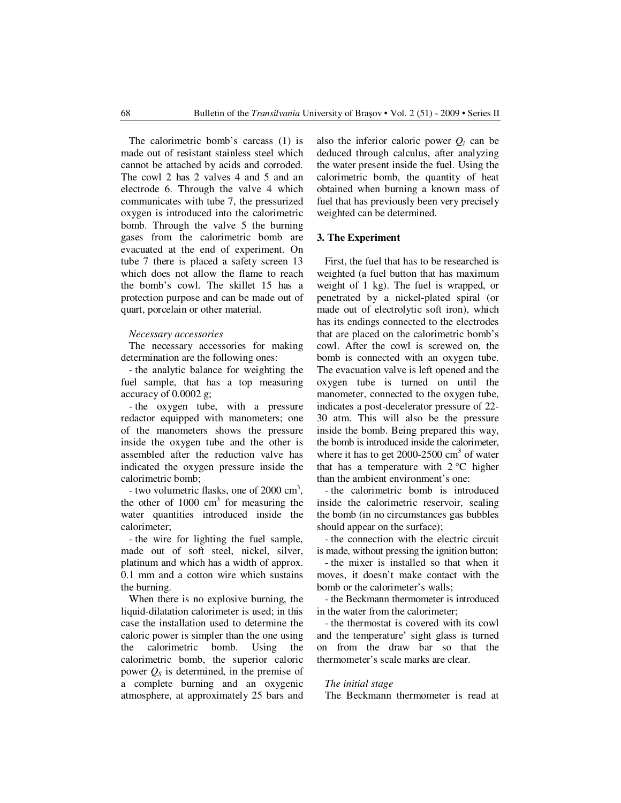The calorimetric bomb's carcass (1) is made out of resistant stainless steel which cannot be attached by acids and corroded. The cowl 2 has 2 valves 4 and 5 and an electrode 6. Through the valve 4 which communicates with tube 7, the pressurized oxygen is introduced into the calorimetric bomb. Through the valve 5 the burning gases from the calorimetric bomb are evacuated at the end of experiment. On tube 7 there is placed a safety screen 13 which does not allow the flame to reach the bomb's cowl. The skillet 15 has a protection purpose and can be made out of quart, porcelain or other material.

#### *Necessary accessories*

The necessary accessories for making determination are the following ones:

- the analytic balance for weighting the fuel sample, that has a top measuring accuracy of 0.0002 g;

- the oxygen tube, with a pressure redactor equipped with manometers; one of the manometers shows the pressure inside the oxygen tube and the other is assembled after the reduction valve has indicated the oxygen pressure inside the calorimetric bomb;

- two volumetric flasks, one of  $2000 \text{ cm}^3$ , the other of  $1000 \text{ cm}^3$  for measuring the water quantities introduced inside the calorimeter;

- the wire for lighting the fuel sample, made out of soft steel, nickel, silver, platinum and which has a width of approx. 0.1 mm and a cotton wire which sustains the burning.

When there is no explosive burning, the liquid-dilatation calorimeter is used; in this case the installation used to determine the caloric power is simpler than the one using the calorimetric bomb. Using the calorimetric bomb, the superior caloric power  $O_s$  is determined, in the premise of a complete burning and an oxygenic atmosphere, at approximately 25 bars and

also the inferior caloric power  $Q_i$  can be deduced through calculus, after analyzing the water present inside the fuel. Using the calorimetric bomb, the quantity of heat obtained when burning a known mass of fuel that has previously been very precisely weighted can be determined.

#### **3. The Experiment**

First, the fuel that has to be researched is weighted (a fuel button that has maximum weight of 1 kg). The fuel is wrapped, or penetrated by a nickel-plated spiral (or made out of electrolytic soft iron), which has its endings connected to the electrodes that are placed on the calorimetric bomb's cowl. After the cowl is screwed on, the bomb is connected with an oxygen tube. The evacuation valve is left opened and the oxygen tube is turned on until the manometer, connected to the oxygen tube, indicates a post-decelerator pressure of 22- 30 atm. This will also be the pressure inside the bomb. Being prepared this way, the bomb is introduced inside the calorimeter, where it has to get  $2000-2500$  cm<sup>3</sup> of water that has a temperature with  $2^{\circ}$ C higher than the ambient environment's one:

- the calorimetric bomb is introduced inside the calorimetric reservoir, sealing the bomb (in no circumstances gas bubbles should appear on the surface);

- the connection with the electric circuit is made, without pressing the ignition button;

- the mixer is installed so that when it moves, it doesn't make contact with the bomb or the calorimeter's walls;

- the Beckmann thermometer is introduced in the water from the calorimeter;

- the thermostat is covered with its cowl and the temperature' sight glass is turned on from the draw bar so that the thermometer's scale marks are clear.

#### *The initial stage*

The Beckmann thermometer is read at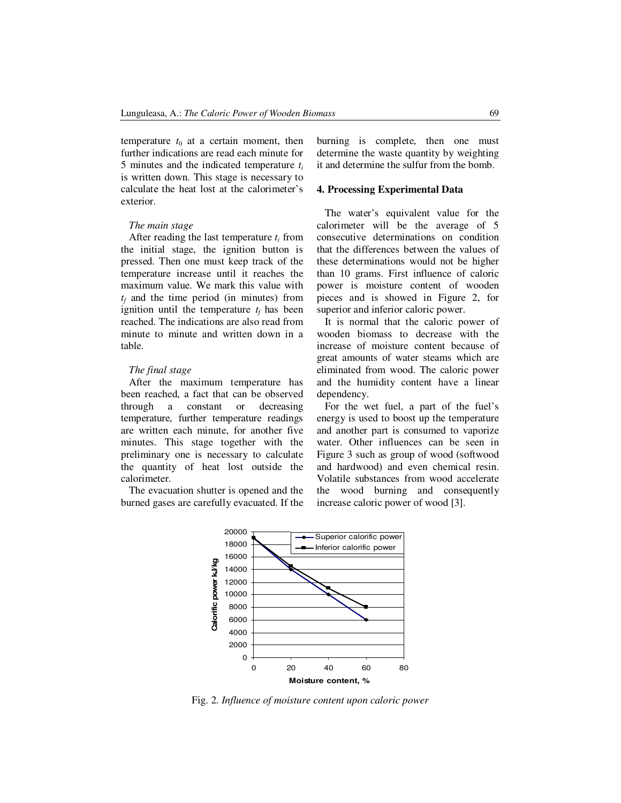temperature  $t_0$  at a certain moment, then further indications are read each minute for 5 minutes and the indicated temperature *t<sup>i</sup>* is written down. This stage is necessary to calculate the heat lost at the calorimeter's exterior.

#### *The main stage*

After reading the last temperature *ti* from the initial stage, the ignition button is pressed. Then one must keep track of the temperature increase until it reaches the maximum value. We mark this value with *tf* and the time period (in minutes) from ignition until the temperature  $t_f$  has been reached. The indications are also read from minute to minute and written down in a table.

#### *The final stage*

After the maximum temperature has been reached, a fact that can be observed through a constant or decreasing temperature, further temperature readings are written each minute, for another five minutes. This stage together with the preliminary one is necessary to calculate the quantity of heat lost outside the calorimeter.

The evacuation shutter is opened and the burned gases are carefully evacuated. If the burning is complete, then one must determine the waste quantity by weighting it and determine the sulfur from the bomb.

# **4. Processing Experimental Data**

The water's equivalent value for the calorimeter will be the average of 5 consecutive determinations on condition that the differences between the values of these determinations would not be higher than 10 grams. First influence of caloric power is moisture content of wooden pieces and is showed in Figure 2, for superior and inferior caloric power.

It is normal that the caloric power of wooden biomass to decrease with the increase of moisture content because of great amounts of water steams which are eliminated from wood. The caloric power and the humidity content have a linear dependency.

For the wet fuel, a part of the fuel's energy is used to boost up the temperature and another part is consumed to vaporize water. Other influences can be seen in Figure 3 such as group of wood (softwood and hardwood) and even chemical resin. Volatile substances from wood accelerate the wood burning and consequently increase caloric power of wood [3].



Fig. 2. *Influence of moisture content upon caloric power*